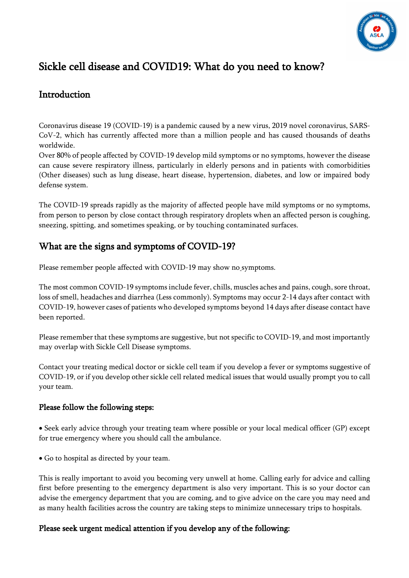

# Sickle cell disease and COVID19: What do you need to know?

## Introduction

Coronavirus disease 19 (COVID-19) is a pandemic caused by a new virus, 2019 novel coronavirus, SARS-CoV-2, which has currently affected more than a million people and has caused thousands of deaths worldwide.

Over 80% of people affected by COVID-19 develop mild symptoms or no symptoms, however the disease can cause severe respiratory illness, particularly in elderly persons and in patients with comorbidities (Other diseases) such as lung disease, heart disease, hypertension, diabetes, and low or impaired body defense system.

The COVID-19 spreads rapidly as the majority of affected people have mild symptoms or no symptoms, from person to person by close contact through respiratory droplets when an affected person is coughing, sneezing, spitting, and sometimes speaking, or by touching contaminated surfaces.

## What are the signs and symptoms of COVID-19?

Please remember people affected with COVID-19 may show no symptoms.

The most common COVID-19 symptoms include fever, chills, muscles aches and pains, cough, sore throat, loss of smell, headaches and diarrhea (Less commonly). Symptoms may occur 2-14 days after contact with COVID-19, however cases of patients who developed symptoms beyond 14 days after disease contact have been reported.

Please remember that these symptoms are suggestive, but not specific to COVID-19, and most importantly may overlap with Sickle Cell Disease symptoms.

Contact your treating medical doctor or sickle cell team if you develop a fever or symptoms suggestive of COVID-19, or if you develop other sickle cell related medical issues that would usually prompt you to call your team.

### Please follow the following steps:

• Seek early advice through your treating team where possible or your local medical officer (GP) except for true emergency where you should call the ambulance.

• Go to hospital as directed by your team.

This is really important to avoid you becoming very unwell at home. Calling early for advice and calling first before presenting to the emergency department is also very important. This is so your doctor can advise the emergency department that you are coming, and to give advice on the care you may need and as many health facilities across the country are taking steps to minimize unnecessary trips to hospitals.

## Please seek urgent medical attention if you develop any of the following: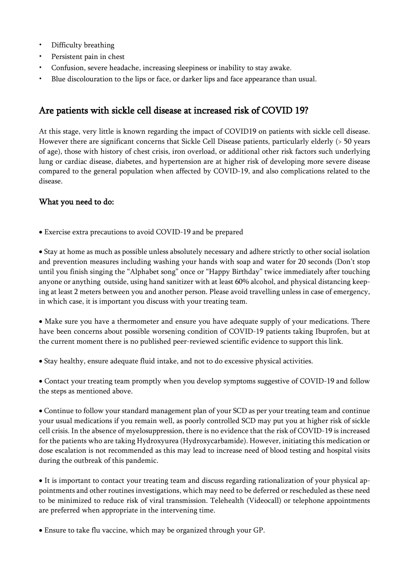- Difficulty breathing
- Persistent pain in chest
- Confusion, severe headache, increasing sleepiness or inability to stay awake.
- Blue discolouration to the lips or face, or darker lips and face appearance than usual.

## Are patients with sickle cell disease at increased risk of COVID 19?

At this stage, very little is known regarding the impact of COVID19 on patients with sickle cell disease. However there are significant concerns that Sickle Cell Disease patients, particularly elderly (> 50 years of age), those with history of chest crisis, iron overload, or additional other risk factors such underlying lung or cardiac disease, diabetes, and hypertension are at higher risk of developing more severe disease compared to the general population when affected by COVID-19, and also complications related to the disease.

### What you need to do:

• Exercise extra precautions to avoid COVID-19 and be prepared

• Stay at home as much as possible unless absolutely necessary and adhere strictly to other social isolation and prevention measures including washing your hands with soap and water for 20 seconds (Don't stop until you finish singing the "Alphabet song" once or "Happy Birthday" twice immediately after touching anyone or anything outside, using hand sanitizer with at least 60% alcohol, and physical distancing keeping at least 2 meters between you and another person. Please avoid travelling unless in case of emergency, in which case, it is important you discuss with your treating team.

• Make sure you have a thermometer and ensure you have adequate supply of your medications. There have been concerns about possible worsening condition of COVID-19 patients taking Ibuprofen, but at the current moment there is no published peer-reviewed scientific evidence to support this link.

• Stay healthy, ensure adequate fluid intake, and not to do excessive physical activities.

• Contact your treating team promptly when you develop symptoms suggestive of COVID-19 and follow the steps as mentioned above.

• Continue to follow your standard management plan of your SCD as per your treating team and continue your usual medications if you remain well, as poorly controlled SCD may put you at higher risk of sickle cell crisis. In the absence of myelosuppression, there is no evidence that the risk of COVID-19 is increased for the patients who are taking Hydroxyurea (Hydroxycarbamide). However, initiating this medication or dose escalation is not recommended as this may lead to increase need of blood testing and hospital visits during the outbreak of this pandemic.

• It is important to contact your treating team and discuss regarding rationalization of your physical appointments and other routines investigations, which may need to be deferred or rescheduled as these need to be minimized to reduce risk of viral transmission. Telehealth (Videocall) or telephone appointments are preferred when appropriate in the intervening time.

• Ensure to take flu vaccine, which may be organized through your GP.